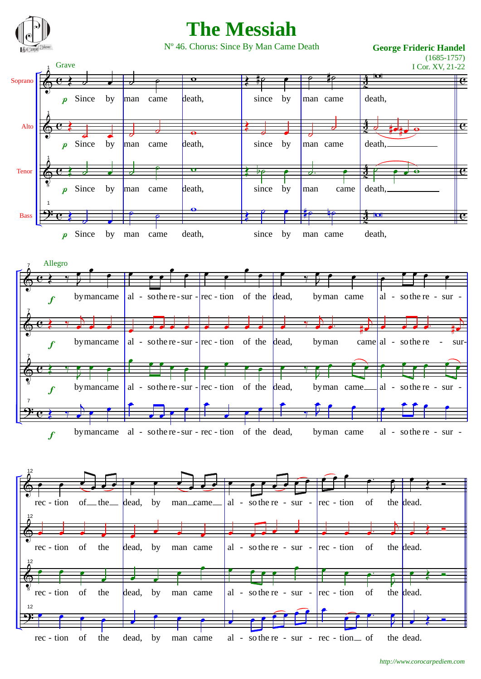

## **The Messiah**

Nº 46. Chorus: Since By Man Came Death **George Frideric Handel**

(1685-1757)

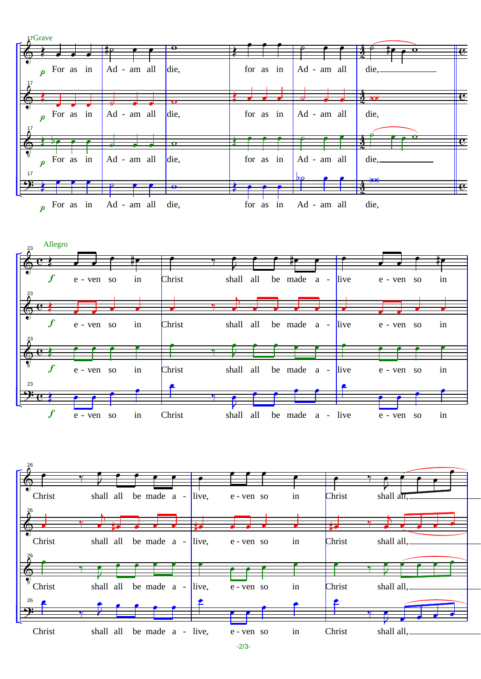